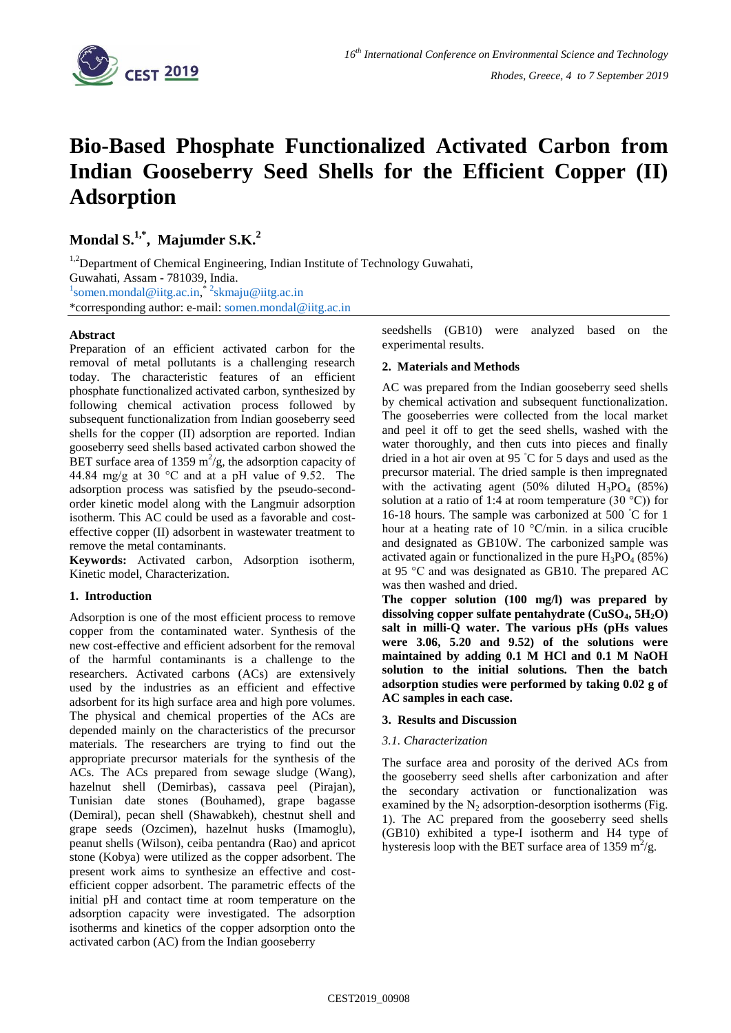

# **Bio-Based Phosphate Functionalized Activated Carbon from Indian Gooseberry Seed Shells for the Efficient Copper (II) Adsorption**

**Mondal S.1,\* , Majumder S.K.<sup>2</sup>**

<sup>1,2</sup>Department of Chemical Engineering, Indian Institute of Technology Guwahati, Guwahati, Assam - 781039, India. <sup>1</sup>[somen.mondal@iitg.ac.in,](mailto:1somen.mondal@iitg.ac.in)<sup>\*2</sup>[skmaju@iitg.ac.in](mailto:2skmaju@iitg.ac.in) \*corresponding author: e-mail: [somen.mondal@iitg.ac.in](mailto:somen.mondal@iitg.ac.in)

# **Abstract**

Preparation of an efficient activated carbon for the removal of metal pollutants is a challenging research today. The characteristic features of an efficient phosphate functionalized activated carbon, synthesized by following chemical activation process followed by subsequent functionalization from Indian gooseberry seed shells for the copper (II) adsorption are reported. Indian gooseberry seed shells based activated carbon showed the BET surface area of 1359  $m^2/g$ , the adsorption capacity of 44.84 mg/g at 30 °C and at a pH value of 9.52. The adsorption process was satisfied by the pseudo-secondorder kinetic model along with the Langmuir adsorption isotherm. This AC could be used as a favorable and costeffective copper (II) adsorbent in wastewater treatment to remove the metal contaminants.

**Keywords:** Activated carbon, Adsorption isotherm, Kinetic model, Characterization.

## **1. Introduction**

Adsorption is one of the most efficient process to remove copper from the contaminated water. Synthesis of the new cost-effective and efficient adsorbent for the removal of the harmful contaminants is a challenge to the researchers. Activated carbons (ACs) are extensively used by the industries as an efficient and effective adsorbent for its high surface area and high pore volumes. The physical and chemical properties of the ACs are depended mainly on the characteristics of the precursor materials. The researchers are trying to find out the appropriate precursor materials for the synthesis of the ACs. The ACs prepared from sewage sludge (Wang), hazelnut shell (Demirbas), cassava peel (Pirajan), Tunisian date stones (Bouhamed), grape bagasse (Demiral), pecan shell (Shawabkeh), chestnut shell and grape seeds (Ozcimen), hazelnut husks (Imamoglu), peanut shells (Wilson), ceiba pentandra (Rao) and apricot stone (Kobya) were utilized as the copper adsorbent. The present work aims to synthesize an effective and costefficient copper adsorbent. The parametric effects of the initial pH and contact time at room temperature on the adsorption capacity were investigated. The adsorption isotherms and kinetics of the copper adsorption onto the activated carbon (AC) from the Indian gooseberry

seedshells (GB10) were analyzed based on the experimental results.

# **2. Materials and Methods**

AC was prepared from the Indian gooseberry seed shells by chemical activation and subsequent functionalization. The gooseberries were collected from the local market and peel it off to get the seed shells, washed with the water thoroughly, and then cuts into pieces and finally dried in a hot air oven at 95 ◦C for 5 days and used as the precursor material. The dried sample is then impregnated with the activating agent (50% diluted  $H_3PO_4$  (85%) solution at a ratio of 1:4 at room temperature (30 °C)) for 16-18 hours. The sample was carbonized at 500 ◦C for 1 hour at a heating rate of 10 °C/min. in a silica crucible and designated as GB10W. The carbonized sample was activated again or functionalized in the pure  $H_3PO_4$  (85%) at 95 °C and was designated as GB10. The prepared AC was then washed and dried.

**The copper solution (100 mg/l) was prepared by dissolving copper sulfate pentahydrate (CuSO4, 5H2O) salt in milli-Q water. The various pHs (pHs values were 3.06, 5.20 and 9.52) of the solutions were maintained by adding 0.1 M HCl and 0.1 M NaOH solution to the initial solutions. Then the batch adsorption studies were performed by taking 0.02 g of AC samples in each case.**

## **3. Results and Discussion**

## *3.1. Characterization*

The surface area and porosity of the derived ACs from the gooseberry seed shells after carbonization and after the secondary activation or functionalization was examined by the  $N_2$  adsorption-desorption isotherms (Fig. 1). The AC prepared from the gooseberry seed shells (GB10) exhibited a type-I isotherm and H4 type of hysteresis loop with the BET surface area of 1359 m<sup>2</sup>/g.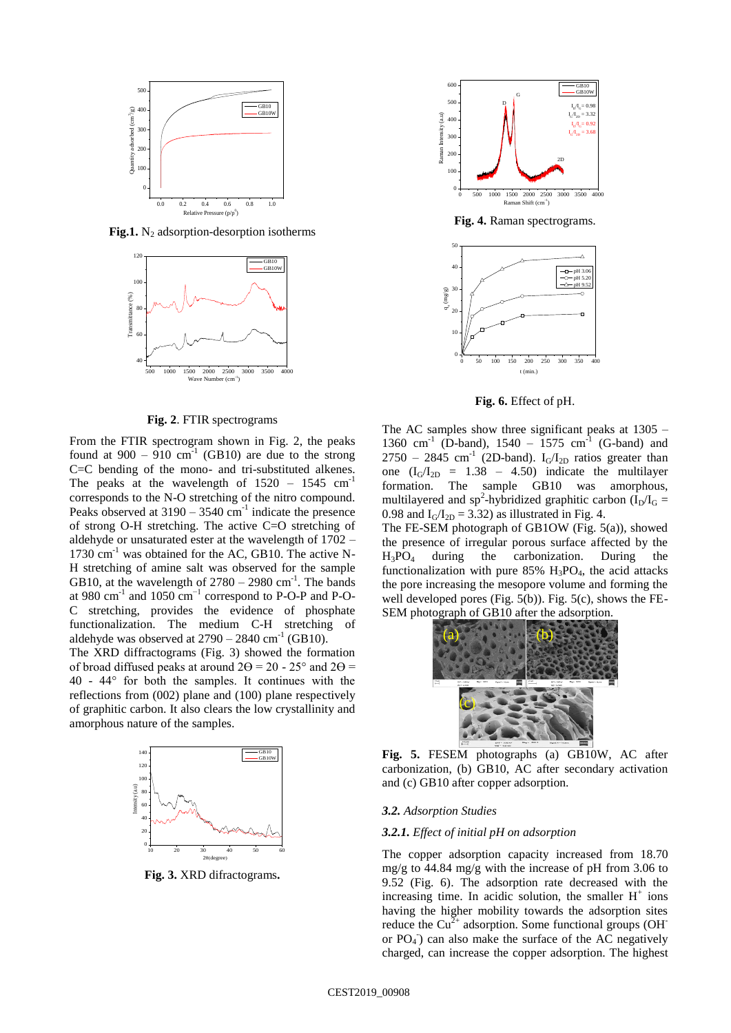

**Fig.1.**  $N_2$  adsorption-desorption isotherms



**Fig. 2**. FTIR spectrograms

From the FTIR spectrogram shown in Fig. 2, the peaks found at  $900 - 910$  cm<sup>-1</sup> (GB10) are due to the strong C=C bending of the mono- and tri-substituted alkenes. The peaks at the wavelength of  $1520 - 1545$  cm<sup>-1</sup> corresponds to the N-O stretching of the nitro compound. Peaks observed at  $3190 - 3540$  cm<sup>-1</sup> indicate the presence of strong O-H stretching. The active C=O stretching of aldehyde or unsaturated ester at the wavelength of 1702 –  $1730 \text{ cm}^{-1}$  was obtained for the AC, GB10. The active N-H stretching of amine salt was observed for the sample GB10, at the wavelength of  $2780 - 2980$  cm<sup>-1</sup>. The bands at 980 cm $^{-1}$  and 1050 cm $^{-1}$  correspond to P-O-P and P-O-C stretching, provides the evidence of phosphate functionalization. The medium C-H stretching of aldehyde was observed at  $2790 - 2840$  cm<sup>-1</sup> (GB10).

The XRD diffractograms (Fig. 3) showed the formation of broad diffused peaks at around  $2\Theta = 20 - 25^{\circ}$  and  $2\Theta =$ 40 - 44° for both the samples. It continues with the reflections from (002) plane and (100) plane respectively of graphitic carbon. It also clears the low crystallinity and amorphous nature of the samples.



**Fig. 3.** XRD difractograms**.**



**Fig. 4.** Raman spectrograms.



**Fig. 6.** Effect of pH.

The AC samples show three significant peaks at 1305 – 1360 cm<sup>-1</sup> (D-band), 1540 – 1575 cm<sup>-1</sup> (G-band) and  $2750 - 2845$  cm<sup>-1</sup> (2D-band). I<sub>G</sub>/I<sub>2D</sub> ratios greater than one  $(I_G/I_{2D} = 1.38 - 4.50)$  indicate the multilayer formation. The sample GB10 was amorphous, multilayered and sp<sup>2</sup>-hybridized graphitic carbon  $(I_D/I_G =$ 0.98 and  $I_G/I_{2D} = 3.32$ ) as illustrated in Fig. 4.

The FE-SEM photograph of GB1OW (Fig. 5(a)), showed the presence of irregular porous surface affected by the H3PO<sup>4</sup> during the carbonization. During the functionalization with pure  $85\%$  H<sub>3</sub>PO<sub>4</sub>, the acid attacks the pore increasing the mesopore volume and forming the well developed pores (Fig.  $5(b)$ ). Fig.  $5(c)$ , shows the FE-SEM photograph of GB10 after the adsorption.



**Fig. 5.** FESEM photographs (a) GB10W, AC after carbonization, (b) GB10, AC after secondary activation and (c) GB10 after copper adsorption.

#### *3.2. Adsorption Studies*

#### *3.2.1. Effect of initial pH on adsorption*

The copper adsorption capacity increased from 18.70 mg/g to 44.84 mg/g with the increase of pH from 3.06 to 9.52 (Fig. 6). The adsorption rate decreased with the increasing time. In acidic solution, the smaller  $H^+$  ions having the higher mobility towards the adsorption sites reduce the  $Cu^{2+}$  adsorption. Some functional groups (OH<sup>-</sup> or  $PO_4$ ) can also make the surface of the AC negatively charged, can increase the copper adsorption. The highest